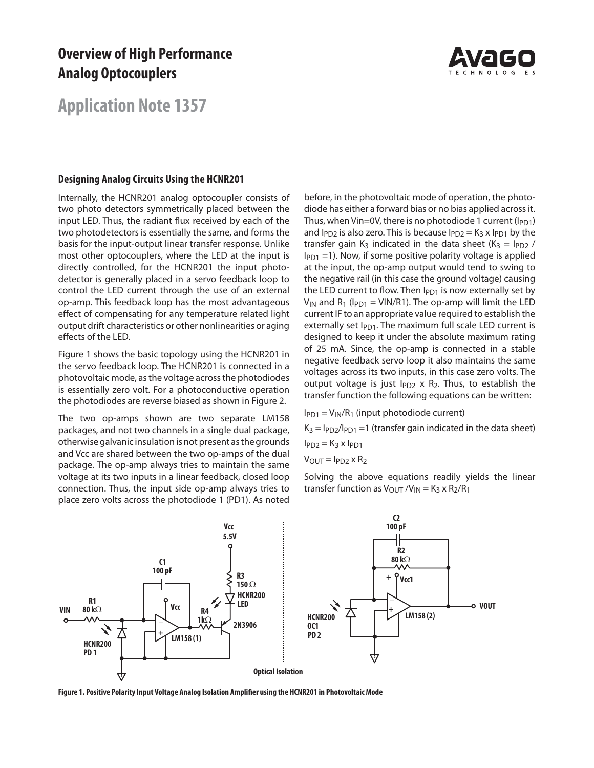# **Overview of High Performance Analog Optocouplers**



# **Application Note 1357**

#### **Designing Analog Circuits Using the HCNR201**

Internally, the HCNR201 analog optocoupler consists of two photo detectors symmetrically placed between the input LED. Thus, the radiant flux received by each of the two photodetectors is essentially the same, and forms the basis for the input-output linear transfer response. Unlike most other optocouplers, where the LED at the input is directly controlled, for the HCNR201 the input photodetector is generally placed in a servo feedback loop to control the LED current through the use of an external op-amp. This feedback loop has the most advantageous effect of compensating for any temperature related light output drift characteristics or other nonlinearities or aging effects of the LED.

Figure 1 shows the basic topology using the HCNR201 in the servo feedback loop. The HCNR201 is connected in a photovoltaic mode, as the voltage across the photodiodes is essentially zero volt. For a photoconductive operation the photodiodes are reverse biased as shown in Figure 2.

The two op-amps shown are two separate LM158 packages, and not two channels in a single dual package, otherwise galvanic insulation is not present as the grounds and Vcc are shared between the two op-amps of the dual package. The op-amp always tries to maintain the same voltage at its two inputs in a linear feedback, closed loop connection. Thus, the input side op-amp always tries to place zero volts across the photodiode 1 (PD1). As noted

before, in the photovoltaic mode of operation, the photodiode has either a forward bias or no bias applied across it. Thus, when Vin=0V, there is no photodiode 1 current ( $I_{PD1}$ ) and  $I_{PD2}$  is also zero. This is because  $I_{PD2} = K_3 \times I_{PD1}$  by the transfer gain K<sub>3</sub> indicated in the data sheet (K<sub>3</sub> =  $I_{PD2}$  /  $I_{PD1}$  =1). Now, if some positive polarity voltage is applied at the input, the op-amp output would tend to swing to the negative rail (in this case the ground voltage) causing the LED current to flow. Then  $I_{PD1}$  is now externally set by  $V_{IN}$  and R<sub>1</sub> ( $I_{PD1}$  = VIN/R1). The op-amp will limit the LED current IF to an appropriate value required to establish the externally set  $I_{PD1}$ . The maximum full scale LED current is designed to keep it under the absolute maximum rating of 25 mA. Since, the op-amp is connected in a stable negative feedback servo loop it also maintains the same voltages across its two inputs, in this case zero volts. The output voltage is just  $I_{PD2}$  x  $R_2$ . Thus, to establish the transfer function the following equations can be written:

 $I_{PD1} = V_{IN}/R_1$  (input photodiode current)  $K_3 = I_{PD2}/I_{PD1} = 1$  (transfer gain indicated in the data sheet)  $I<sub>PD2</sub> = K<sub>3</sub> x I<sub>PD1</sub>$ 

 $V<sub>OUT</sub> = I<sub>PD2</sub> \times R<sub>2</sub>$ 

Solving the above equations readily yields the linear transfer function as  $V_{\text{OUT}}/V_{\text{IN}} = K_3 \times R_2/R_1$ 



Figure 1. Positive Polarity Input Voltage Analog Isolation Amplifier using the HCNR201 in Photovoltaic Mode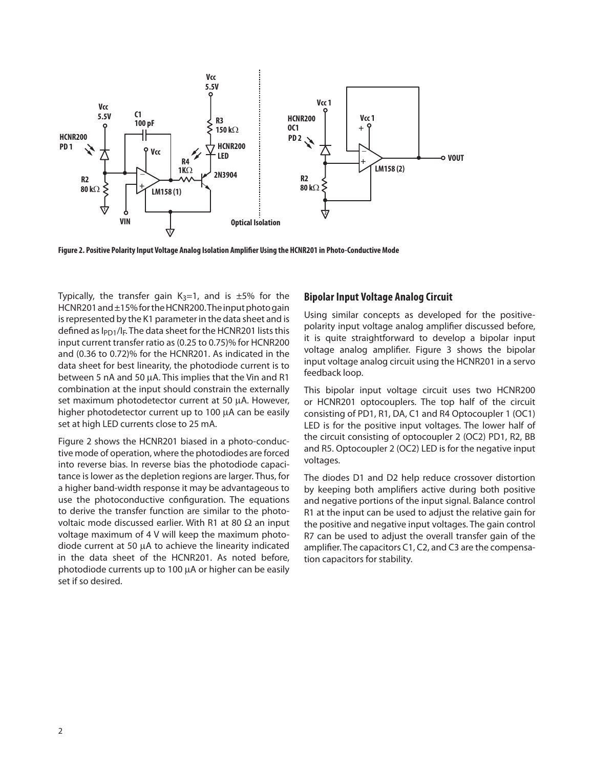

Figure 2. Positive Polarity Input Voltage Analog Isolation Amplifier Using the HCNR201 in Photo-Conductive Mode

Typically, the transfer gain  $K_3=1$ , and is  $\pm 5\%$  for the HCNR201 and ±15% for the HCNR200. The input photo gain is represented by the K1 parameter in the data sheet and is defined as  $I_{PD1}/I_F$ . The data sheet for the HCNR201 lists this input current transfer ratio as (0.25 to 0.75)% for HCNR200 and (0.36 to 0.72)% for the HCNR201. As indicated in the data sheet for best linearity, the photodiode current is to between 5 nA and 50  $\mu$ A. This implies that the Vin and R1 combination at the input should constrain the externally set maximum photodetector current at 50 µA. However, higher photodetector current up to 100 µA can be easily set at high LED currents close to 25 mA.

Figure 2 shows the HCNR201 biased in a photo-conductive mode of operation, where the photodiodes are forced into reverse bias. In reverse bias the photodiode capacitance is lower as the depletion regions are larger. Thus, for a higher band-width response it may be advantageous to use the photoconductive configuration. The equations to derive the transfer function are similar to the photovoltaic mode discussed earlier. With R1 at 80  $\Omega$  an input voltage maximum of 4 V will keep the maximum photodiode current at 50  $\mu$ A to achieve the linearity indicated in the data sheet of the HCNR201. As noted before, photodiode currents up to 100  $\mu$ A or higher can be easily set if so desired.

## **Bipolar Input Voltage Analog Circuit**

Using similar concepts as developed for the positivepolarity input voltage analog amplifier discussed before, it is quite straightforward to develop a bipolar input voltage analog amplifier. Figure 3 shows the bipolar input voltage analog circuit using the HCNR201 in a servo feedback loop.

This bipolar input voltage circuit uses two HCNR200 or HCNR201 optocouplers. The top half of the circuit consisting of PD1, R1, DA, C1 and R4 Optocoupler 1 (OC1) LED is for the positive input voltages. The lower half of the circuit consisting of optocoupler 2 (OC2) PD1, R2, BB and R5. Optocoupler 2 (OC2) LED is for the negative input voltages.

The diodes D1 and D2 help reduce crossover distortion by keeping both amplifiers active during both positive and negative portions of the input signal. Balance control R1 at the input can be used to adjust the relative gain for the positive and negative input voltages. The gain control R7 can be used to adjust the overall transfer gain of the amplifier. The capacitors C1, C2, and C3 are the compensation capacitors for stability.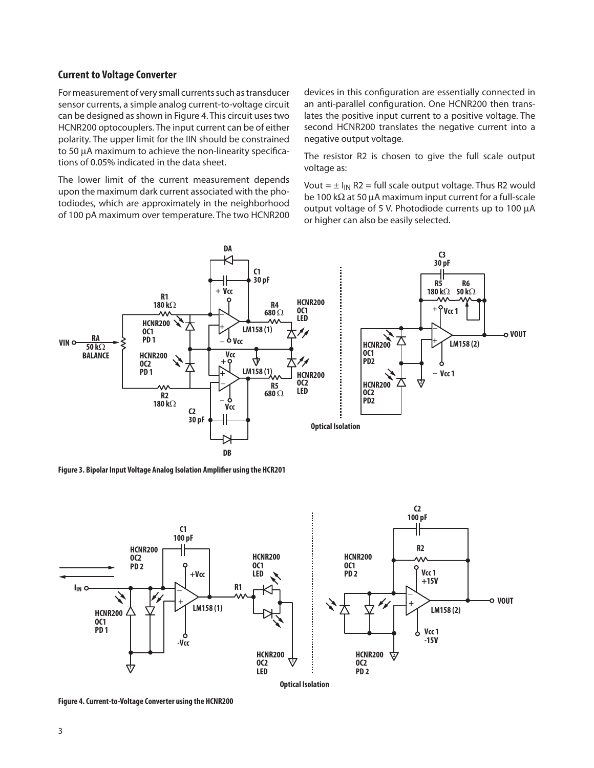#### **Current to Voltage Converter**

For measurement of very small currents such as transducer sensor currents, a simple analog current-to-voltage circuit can be designed as shown in Figure 4. This circuit uses two HCNR200 optocouplers. The input current can be of either polarity. The upper limit for the IIN should be constrained to 50  $\mu$ A maximum to achieve the non-linearity specifications of 0.05% indicated in the data sheet.

The lower limit of the current measurement depends upon the maximum dark current associated with the photodiodes, which are approximately in the neighborhood of 100 pA maximum over temperature. The two HCNR200 devices in this configuration are essentially connected in an anti-parallel configuration. One HCNR200 then translates the positive input current to a positive voltage. The second HCNR200 translates the negative current into a negative output voltage.

The resistor R2 is chosen to give the full scale output voltage as:

Vout =  $\pm$  I<sub>IN</sub> R2 = full scale output voltage. Thus R2 would be 100 k $\Omega$  at 50 µA maximum input current for a full-scale output voltage of 5 V. Photodiode currents up to 100 µA or higher can also be easily selected.



**Figure 3. Bipolar Input Voltage Analog Isolation Amplifier using the HCR201** 



**Figure 4. Current-to-Voltage Converter using the HCNR200**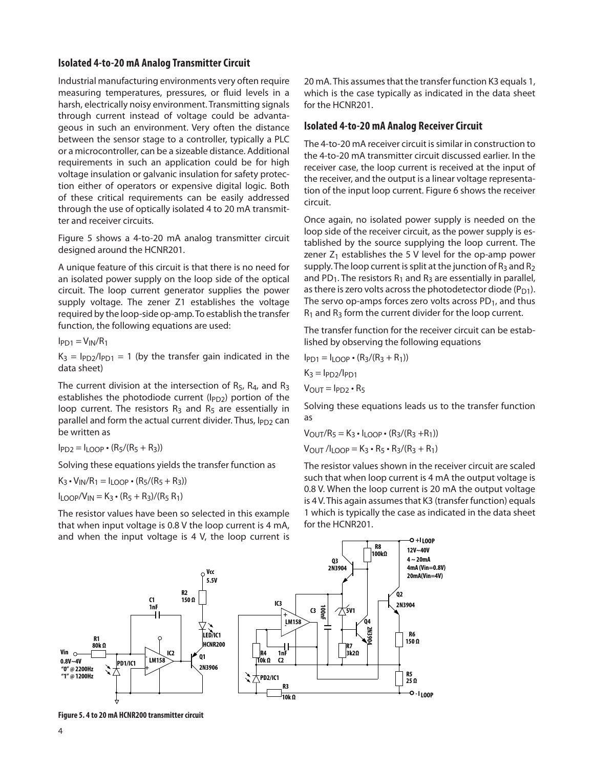## **Isolated 4-to-20 mA Analog Transmitter Circuit**

Industrial manufacturing environments very often require measuring temperatures, pressures, or fluid levels in a harsh, electrically noisy environment. Transmitting signals through current instead of voltage could be advantageous in such an environment. Very often the distance between the sensor stage to a controller, typically a PLC or a microcontroller, can be a sizeable distance. Additional requirements in such an application could be for high voltage insulation or galvanic insulation for safety protection either of operators or expensive digital logic. Both of these critical requirements can be easily addressed through the use of optically isolated 4 to 20 mA transmitter and receiver circuits.

Figure 5 shows a 4-to-20 mA analog transmitter circuit designed around the HCNR201.

A unique feature of this circuit is that there is no need for an isolated power supply on the loop side of the optical circuit. The loop current generator supplies the power supply voltage. The zener Z1 establishes the voltage required by the loop-side op-amp. To establish the transfer function, the following equations are used:

 $I<sub>PD1</sub> = V<sub>IN</sub>/R<sub>1</sub>$ 

 $K_3 = I_{PD2}/I_{PD1} = 1$  (by the transfer gain indicated in the data sheet)

The current division at the intersection of  $R_5$ ,  $R_4$ , and  $R_3$ establishes the photodiode current ( $I_{PD2}$ ) portion of the loop current. The resistors  $R_3$  and  $R_5$  are essentially in parallel and form the actual current divider. Thus, IPD2 can be written as

 $I_{PD2} = I_{LOOP} \cdot (R_5/(R_5 + R_3))$ 

Solving these equations yields the transfer function as

 $K_3 \cdot V_{IN}/R_1 = I_{LOOP} \cdot (R_5/(R_5 + R_3))$  $I_{\text{LOOP}}/V_{\text{IN}} = K_3 \cdot (R_5 + R_3)/(R_5 R_1)$ 

The resistor values have been so selected in this example that when input voltage is 0.8 V the loop current is 4 mA, and when the input voltage is 4 V, the loop current is

20 mA. This assumes that the transfer function K3 equals 1, which is the case typically as indicated in the data sheet for the HCNR201.

#### **Isolated 4-to-20 mA Analog Receiver Circuit**

The 4-to-20 mA receiver circuit is similar in construction to the 4-to-20 mA transmitter circuit discussed earlier. In the receiver case, the loop current is received at the input of the receiver, and the output is a linear voltage representation of the input loop current. Figure 6 shows the receiver circuit.

Once again, no isolated power supply is needed on the loop side of the receiver circuit, as the power supply is established by the source supplying the loop current. The zener  $Z_1$  establishes the 5 V level for the op-amp power supply. The loop current is split at the junction of  $R_3$  and  $R_2$ and PD<sub>1</sub>. The resistors  $R_1$  and  $R_3$  are essentially in parallel, as there is zero volts across the photodetector diode  $(P_{D1})$ . The servo op-amps forces zero volts across  $PD_1$ , and thus  $R_1$  and  $R_3$  form the current divider for the loop current.

The transfer function for the receiver circuit can be established by observing the following equations

$$
I_{PD1} = I_{LOOP} \cdot (R_3/(R_3 + R_1))
$$

$$
K_3 = I_{PD2}/I_{PD1}
$$

$$
V_{OUT} = I_{PD2} \cdot R_5
$$

Solving these equations leads us to the transfer function as

$$
V_{OUT}/R_5 = K_3 \cdot I_{LOOP} \cdot (R_3/(R_3 + R_1))
$$
  

$$
V_{OUT}/I_{LOOP} = K_3 \cdot R_5 \cdot R_3/(R_3 + R_1)
$$

The resistor values shown in the receiver circuit are scaled such that when loop current is 4 mA the output voltage is 0.8 V. When the loop current is 20 mA the output voltage is 4 V. This again assumes that K3 (transfer function) equals 1 which is typically the case as indicated in the data sheet for the HCNR201.

**+ILOOP**



**Figure 5. 4 to 20 mA HCNR200 transmitter circuit**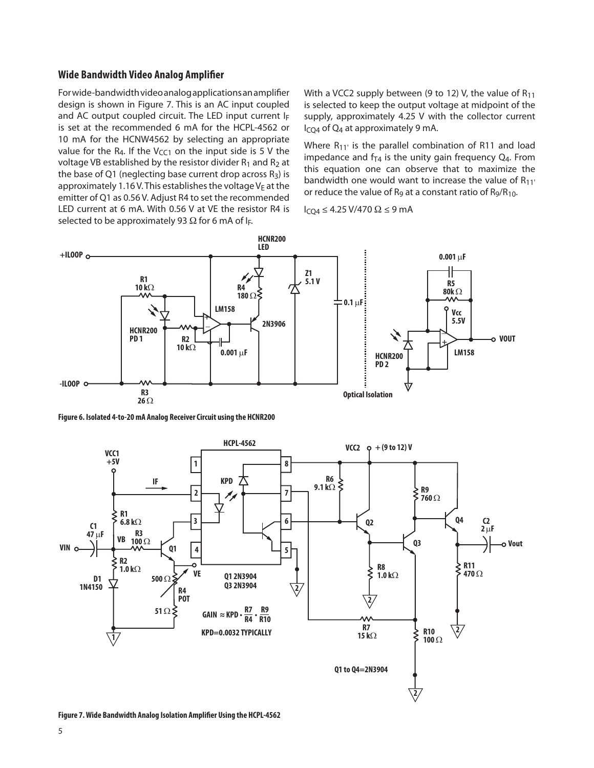#### **Wide Bandwidth Video Analog Amplifier**

For wide-bandwidth video analog applications an amplifier design is shown in Figure 7. This is an AC input coupled and AC output coupled circuit. The LED input current IF is set at the recommended 6 mA for the HCPL-4562 or 10 mA for the HCNW4562 by selecting an appropriate value for the R<sub>4</sub>. If the V<sub>CC1</sub> on the input side is 5 V the voltage VB established by the resistor divider  $R_1$  and  $R_2$  at the base of Q1 (neglecting base current drop across  $R_3$ ) is approximately 1.16 V. This establishes the voltage  $V_E$  at the emitter of Q1 as 0.56 V. Adjust R4 to set the recommended LED current at 6 mA. With 0.56 V at VE the resistor R4 is selected to be approximately 93  $\Omega$  for 6 mA of I<sub>F</sub>.

With a VCC2 supply between (9 to 12) V, the value of  $R_{11}$ is selected to keep the output voltage at midpoint of the supply, approximately 4.25 V with the collector current I<sub>CQ4</sub> of Q<sub>4</sub> at approximately 9 mA.

Where  $R_{11'}$  is the parallel combination of R11 and load impedance and  $f_{T4}$  is the unity gain frequency  $Q_4$ . From this equation one can observe that to maximize the bandwidth one would want to increase the value of  $R_{11'}$ or reduce the value of  $R_9$  at a constant ratio of  $R_9/R_{10}$ .

 $I_{CQ4}$  ≤ 4.25 V/470 Ω ≤ 9 mA



**Figure 6. Isolated 4-to-20 mA Analog Receiver Circuit using the HCNR200**



**Figure 7. Wide Bandwidth Analog Isolation Amplifier Using the HCPL-4562**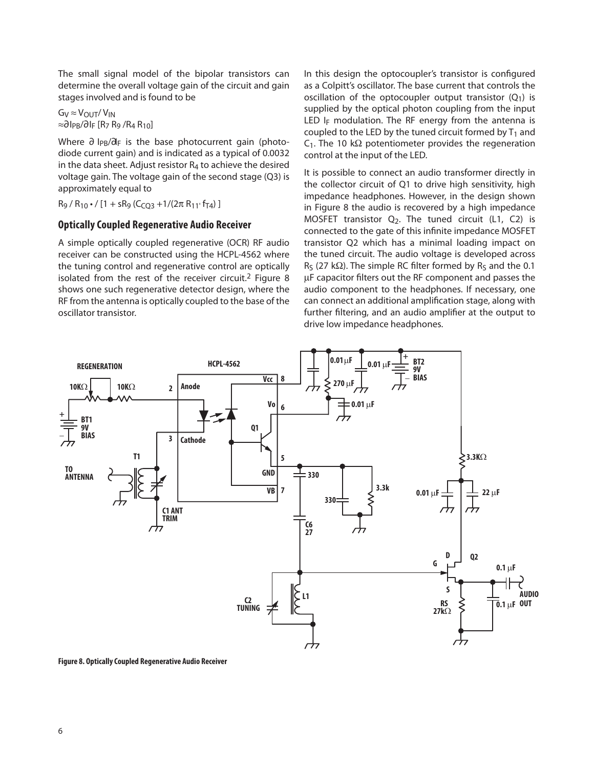The small signal model of the bipolar transistors can determine the overall voltage gain of the circuit and gain stages involved and is found to be

 $G_V \approx V_{\text{OUT}}/V_{\text{IN}}$  $\approx$ ∂ I<sub>PB</sub>/∂ I<sub>F</sub> [R<sub>7</sub> R<sub>9</sub> /R<sub>4</sub> R<sub>10</sub>]

Where ∂ I<sub>PB</sub>/a<sub>F</sub> is the base photocurrent gain (photodiode current gain) and is indicated as a typical of 0.0032 in the data sheet. Adjust resistor  $R_4$  to achieve the desired voltage gain. The voltage gain of the second stage (Q3) is approximately equal to

 $R_9 / R_{10}$  • /  $[1 + sR_9 (C_{CO3} + 1/(2 \pi R_{11} \cdot f_{T4})]$ 

## **Optically Coupled Regenerative Audio Receiver**

A simple optically coupled regenerative (OCR) RF audio receiver can be constructed using the HCPL-4562 where the tuning control and regenerative control are optically isolated from the rest of the receiver circuit.2 Figure 8 shows one such regenerative detector design, where the RF from the antenna is optically coupled to the base of the oscillator transistor.

In this design the optocoupler's transistor is configured as a Colpitt's oscillator. The base current that controls the oscillation of the optocoupler output transistor  $(Q_1)$  is supplied by the optical photon coupling from the input LED I<sub>F</sub> modulation. The RF energy from the antenna is coupled to the LED by the tuned circuit formed by  $T_1$  and  $C_1$ . The 10 k $\Omega$  potentiometer provides the regeneration control at the input of the LED.

It is possible to connect an audio transformer directly in the collector circuit of Q1 to drive high sensitivity, high impedance headphones. However, in the design shown in Figure 8 the audio is recovered by a high impedance MOSFET transistor  $Q_2$ . The tuned circuit (L1, C2) is connected to the gate of this infinite impedance MOSFET transistor Q2 which has a minimal loading impact on the tuned circuit. The audio voltage is developed across  $R<sub>S</sub>$  (27 k $\Omega$ ). The simple RC filter formed by R<sub>S</sub> and the 0.1 µF capacitor filters out the RF component and passes the audio component to the headphones. If necessary, one can connect an additional amplification stage, along with further filtering, and an audio amplifier at the output to drive low impedance headphones.



**Figure 8. Optically Coupled Regenerative Audio Receiver**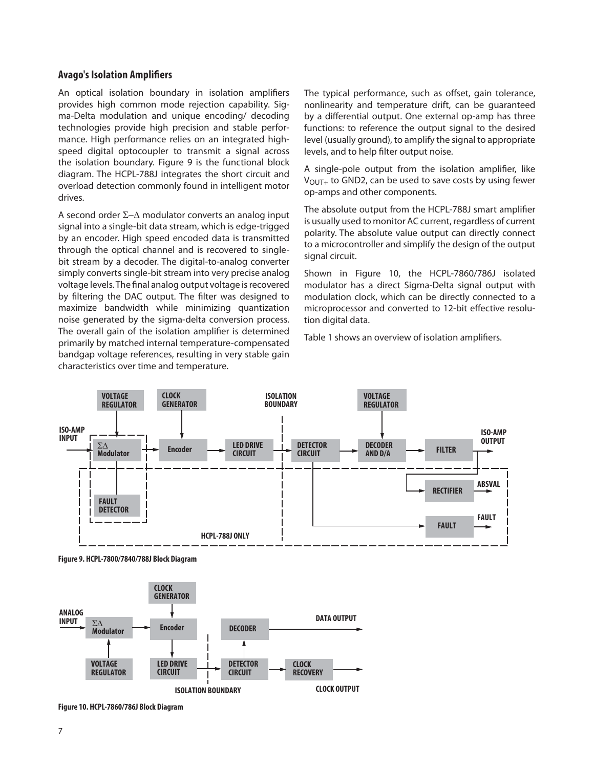#### **Avago's Isolation Amplifiers**

An optical isolation boundary in isolation amplifiers provides high common mode rejection capability. Sigma-Delta modulation and unique encoding/ decoding technologies provide high precision and stable performance. High performance relies on an integrated highspeed digital optocoupler to transmit a signal across the isolation boundary. Figure 9 is the functional block diagram. The HCPL-788J integrates the short circuit and overload detection commonly found in intelligent motor drives.

A second order  $\Sigma$ - $\Delta$  modulator converts an analog input signal into a single-bit data stream, which is edge-trigged by an encoder. High speed encoded data is transmitted through the optical channel and is recovered to singlebit stream by a decoder. The digital-to-analog converter simply converts single-bit stream into very precise analog voltage levels. The final analog output voltage is recovered by filtering the DAC output. The filter was designed to maximize bandwidth while minimizing quantization noise generated by the sigma-delta conversion process. The overall gain of the isolation amplifier is determined primarily by matched internal temperature-compensated bandgap voltage references, resulting in very stable gain characteristics over time and temperature.

The typical performance, such as offset, gain tolerance, nonlinearity and temperature drift, can be guaranteed by a differential output. One external op-amp has three functions: to reference the output signal to the desired level (usually ground), to amplify the signal to appropriate levels, and to help filter output noise.

A single-pole output from the isolation amplifier, like  $V_{\text{OUT+}}$  to GND2, can be used to save costs by using fewer op-amps and other components.

The absolute output from the HCPL-788J smart amplifier is usually used to monitor AC current, regardless of current polarity. The absolute value output can directly connect to a microcontroller and simplify the design of the output signal circuit.

Shown in Figure 10, the HCPL-7860/786J isolated modulator has a direct Sigma-Delta signal output with modulation clock, which can be directly connected to a microprocessor and converted to 12-bit effective resolution digital data.

Table 1 shows an overview of isolation amplifiers.



**Figure 9. HCPL-7800/7840/788J Block Diagram**



**Figure 10. HCPL-7860/786J Block Diagram**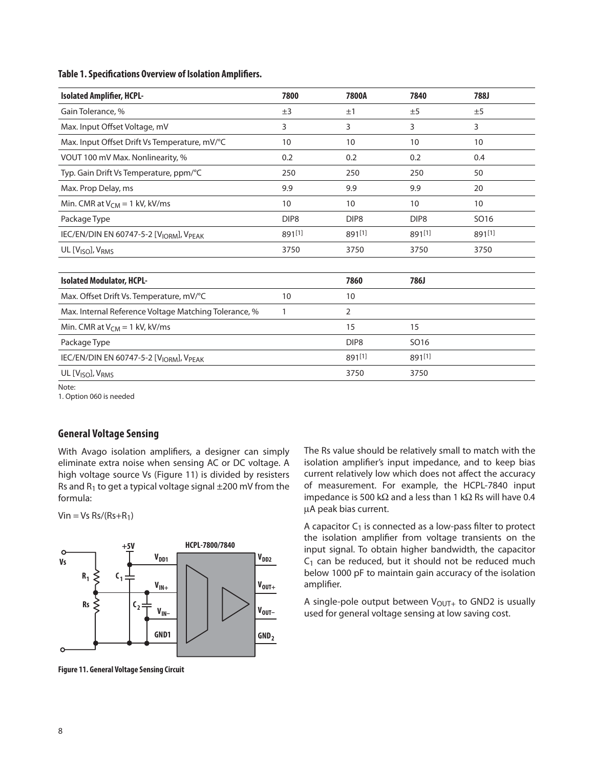#### **Table 1. Specifications Overview of Isolation Amplifiers.**

| <b>Isolated Amplifier, HCPL-</b>                                | 7800             | 7800A            | 7840             | 788J             |
|-----------------------------------------------------------------|------------------|------------------|------------------|------------------|
| Gain Tolerance, %                                               | ±3               | ±1               | ±5               | ±5               |
| Max. Input Offset Voltage, mV                                   | 3                | 3                | 3                | 3                |
| Max. Input Offset Drift Vs Temperature, mV/°C                   | 10               | 10               | 10               | 10               |
| VOUT 100 mV Max. Nonlinearity, %                                | 0.2              | 0.2              | 0.2              | 0.4              |
| Typ. Gain Drift Vs Temperature, ppm/°C                          | 250              | 250              | 250              | 50               |
| Max. Prop Delay, ms                                             | 9.9              | 9.9              | 9.9              | 20               |
| Min. CMR at $V_{CM} = 1$ kV, kV/ms                              | 10               | 10               | 10               | 10               |
| Package Type                                                    | DIP <sub>8</sub> | DIP <sub>8</sub> | DIP <sub>8</sub> | SO <sub>16</sub> |
| IEC/EN/DIN EN 60747-5-2 [VIORM], VPEAK                          | 891[1]           | 891[1]           | 891[1]           | 891[1]           |
| UL [V <sub>ISO</sub> ], V <sub>RMS</sub>                        | 3750             | 3750             | 3750             | 3750             |
|                                                                 |                  |                  |                  |                  |
| <b>Isolated Modulator, HCPL-</b>                                |                  | 7860             | 786J             |                  |
| Max. Offset Drift Vs. Temperature, mV/°C                        | 10               | 10               |                  |                  |
| Max. Internal Reference Voltage Matching Tolerance, %           | 1                | 2                |                  |                  |
| Min. CMR at $V_{CM} = 1$ kV, kV/ms                              |                  | 15               | 15               |                  |
| Package Type                                                    |                  | DIP <sub>8</sub> | SO <sub>16</sub> |                  |
| IEC/EN/DIN EN 60747-5-2 [V <sub>IORM</sub> ], V <sub>PEAK</sub> |                  | 891[1]           | 891[1]           |                  |
| UL [V <sub>ISO</sub> ], V <sub>RMS</sub>                        |                  | 3750             | 3750             |                  |

Note:

1. Option 060 is needed

#### **General Voltage Sensing**

With Avago isolation amplifiers, a designer can simply eliminate extra noise when sensing AC or DC voltage. A high voltage source Vs (Figure 11) is divided by resisters Rs and  $R_1$  to get a typical voltage signal  $\pm 200$  mV from the formula:

 $V$ in = Vs Rs/(Rs+R<sub>1</sub>)



**Figure 11. General Voltage Sensing Circuit**

The Rs value should be relatively small to match with the isolation amplifier's input impedance, and to keep bias current relatively low which does not affect the accuracy of measurement. For example, the HCPL-7840 input impedance is 500 k $\Omega$  and a less than 1 k $\Omega$  Rs will have 0.4 A peak bias current.

A capacitor  $C_1$  is connected as a low-pass filter to protect the isolation amplifier from voltage transients on the input signal. To obtain higher bandwidth, the capacitor  $C_1$  can be reduced, but it should not be reduced much below 1000 pF to maintain gain accuracy of the isolation amplifier.

A single-pole output between  $V_{\text{OUT}+}$  to GND2 is usually used for general voltage sensing at low saving cost.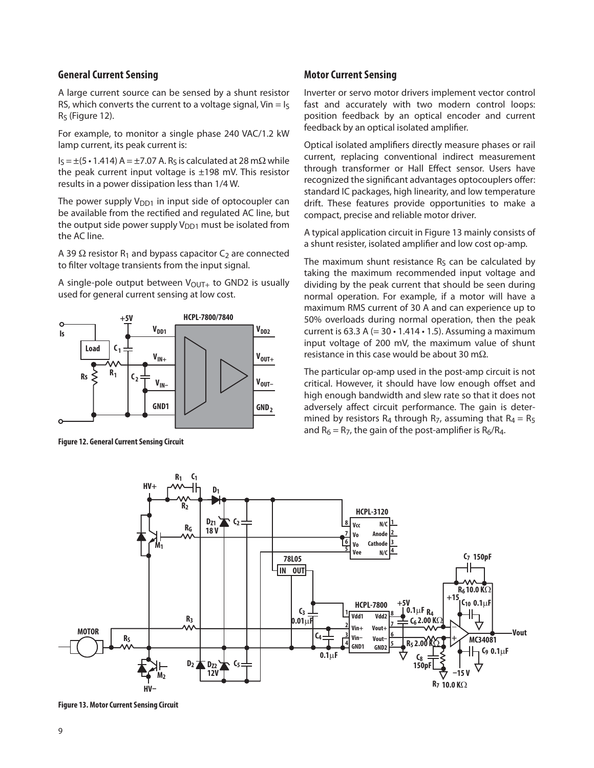## **General Current Sensing**

A large current source can be sensed by a shunt resistor RS, which converts the current to a voltage signal, Vin =  $I_5$  $R<sub>S</sub>$  (Figure 12).

For example, to monitor a single phase 240 VAC/1.2 kW lamp current, its peak current is:

 $I_S = \pm (5 \cdot 1.414) A = \pm 7.07 A$ . R<sub>S</sub> is calculated at 28 m $\Omega$  while the peak current input voltage is  $\pm$ 198 mV. This resistor results in a power dissipation less than 1/4 W.

The power supply  $V_{DD1}$  in input side of optocoupler can be available from the rectified and regulated AC line, but the output side power supply  $V_{DD1}$  must be isolated from the AC line.

A 39  $\Omega$  resistor R<sub>1</sub> and bypass capacitor C<sub>2</sub> are connected to filter voltage transients from the input signal.

A single-pole output between  $V_{\text{OUT}+}$  to GND2 is usually used for general current sensing at low cost.



**Figure 12. General Current Sensing Circuit**

#### **Motor Current Sensing**

Inverter or servo motor drivers implement vector control fast and accurately with two modern control loops: position feedback by an optical encoder and current feedback by an optical isolated amplifier.

Optical isolated amplifiers directly measure phases or rail current, replacing conventional indirect measurement through transformer or Hall Effect sensor. Users have recognized the significant advantages optocouplers offer: standard IC packages, high linearity, and low temperature drift. These features provide opportunities to make a compact, precise and reliable motor driver.

A typical application circuit in Figure 13 mainly consists of a shunt resister, isolated amplifier and low cost op-amp.

The maximum shunt resistance  $R<sub>S</sub>$  can be calculated by taking the maximum recommended input voltage and dividing by the peak current that should be seen during normal operation. For example, if a motor will have a maximum RMS current of 30 A and can experience up to 50% overloads during normal operation, then the peak current is 63.3 A  $(= 30 \cdot 1.414 \cdot 1.5)$ . Assuming a maximum input voltage of 200 mV, the maximum value of shunt resistance in this case would be about 30 m $\Omega$ .

The particular op-amp used in the post-amp circuit is not critical. However, it should have low enough offset and high enough bandwidth and slew rate so that it does not adversely affect circuit performance. The gain is determined by resistors R<sub>4</sub> through R<sub>7</sub>, assuming that R<sub>4</sub> = R<sub>5</sub> and  $R_6 = R_7$ , the gain of the post-amplifier is  $R_6/R_4$ .



**Figure 13. Motor Current Sensing Circuit**